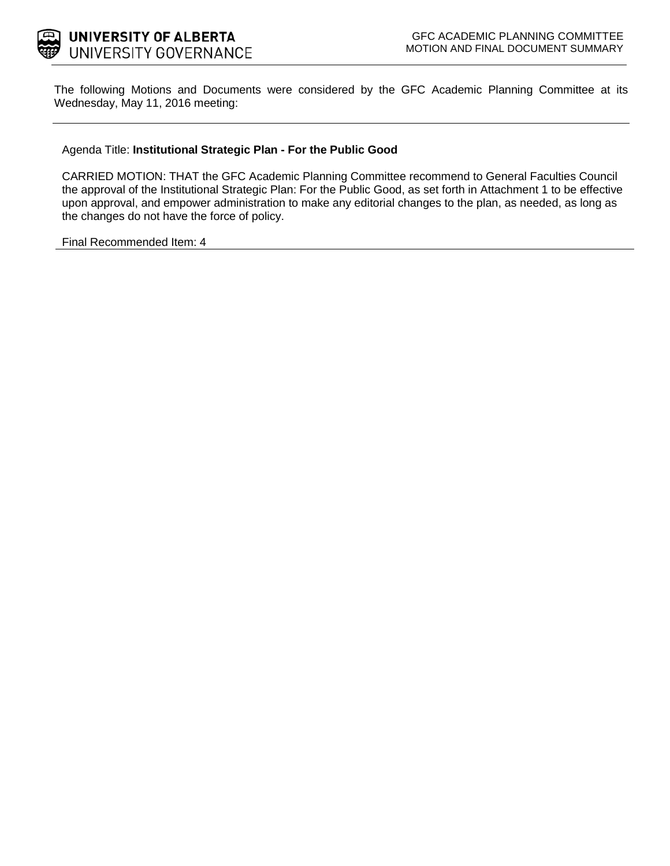

The following Motions and Documents were considered by the GFC Academic Planning Committee at its Wednesday, May 11, 2016 meeting:

### Agenda Title: **Institutional Strategic Plan - For the Public Good**

CARRIED MOTION: THAT the GFC Academic Planning Committee recommend to General Faculties Council the approval of the Institutional Strategic Plan: For the Public Good, as set forth in Attachment 1 to be effective upon approval, and empower administration to make any editorial changes to the plan, as needed, as long as the changes do not have the force of policy.

Final Recommended Item: 4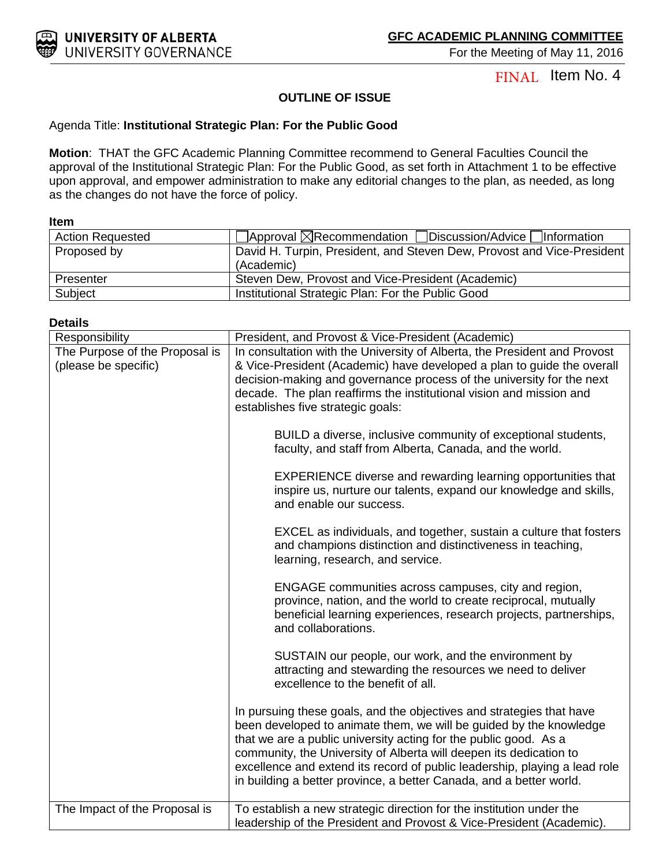

For the Meeting of May 11, 2016

FINAL Item No. 4

### **OUTLINE OF ISSUE**

### Agenda Title: **Institutional Strategic Plan: For the Public Good**

**Motion**: THAT the GFC Academic Planning Committee recommend to General Faculties Council the approval of the Institutional Strategic Plan: For the Public Good, as set forth in Attachment 1 to be effective upon approval, and empower administration to make any editorial changes to the plan, as needed, as long as the changes do not have the force of policy.

#### **Item**

| <b>Action Requested</b> | $\Box$ Approval $\boxtimes$ Recommendation $\Box$ Discussion/Advice $\Box$ Information |
|-------------------------|----------------------------------------------------------------------------------------|
| Proposed by             | David H. Turpin, President, and Steven Dew, Provost and Vice-President                 |
|                         | (Academic)                                                                             |
| Presenter               | Steven Dew, Provost and Vice-President (Academic)                                      |
| Subject                 | Institutional Strategic Plan: For the Public Good                                      |

### **Details**

| Responsibility                                         | President, and Provost & Vice-President (Academic)                                                                                                                                                                                                                                                                                                                                                                                        |
|--------------------------------------------------------|-------------------------------------------------------------------------------------------------------------------------------------------------------------------------------------------------------------------------------------------------------------------------------------------------------------------------------------------------------------------------------------------------------------------------------------------|
| The Purpose of the Proposal is<br>(please be specific) | In consultation with the University of Alberta, the President and Provost<br>& Vice-President (Academic) have developed a plan to guide the overall<br>decision-making and governance process of the university for the next<br>decade. The plan reaffirms the institutional vision and mission and<br>establishes five strategic goals:                                                                                                  |
|                                                        | BUILD a diverse, inclusive community of exceptional students,<br>faculty, and staff from Alberta, Canada, and the world.                                                                                                                                                                                                                                                                                                                  |
|                                                        | <b>EXPERIENCE diverse and rewarding learning opportunities that</b><br>inspire us, nurture our talents, expand our knowledge and skills,<br>and enable our success.                                                                                                                                                                                                                                                                       |
|                                                        | EXCEL as individuals, and together, sustain a culture that fosters<br>and champions distinction and distinctiveness in teaching,<br>learning, research, and service.                                                                                                                                                                                                                                                                      |
|                                                        | ENGAGE communities across campuses, city and region,<br>province, nation, and the world to create reciprocal, mutually<br>beneficial learning experiences, research projects, partnerships,<br>and collaborations.                                                                                                                                                                                                                        |
|                                                        | SUSTAIN our people, our work, and the environment by<br>attracting and stewarding the resources we need to deliver<br>excellence to the benefit of all.                                                                                                                                                                                                                                                                                   |
|                                                        | In pursuing these goals, and the objectives and strategies that have<br>been developed to animate them, we will be guided by the knowledge<br>that we are a public university acting for the public good. As a<br>community, the University of Alberta will deepen its dedication to<br>excellence and extend its record of public leadership, playing a lead role<br>in building a better province, a better Canada, and a better world. |
| The Impact of the Proposal is                          | To establish a new strategic direction for the institution under the<br>leadership of the President and Provost & Vice-President (Academic).                                                                                                                                                                                                                                                                                              |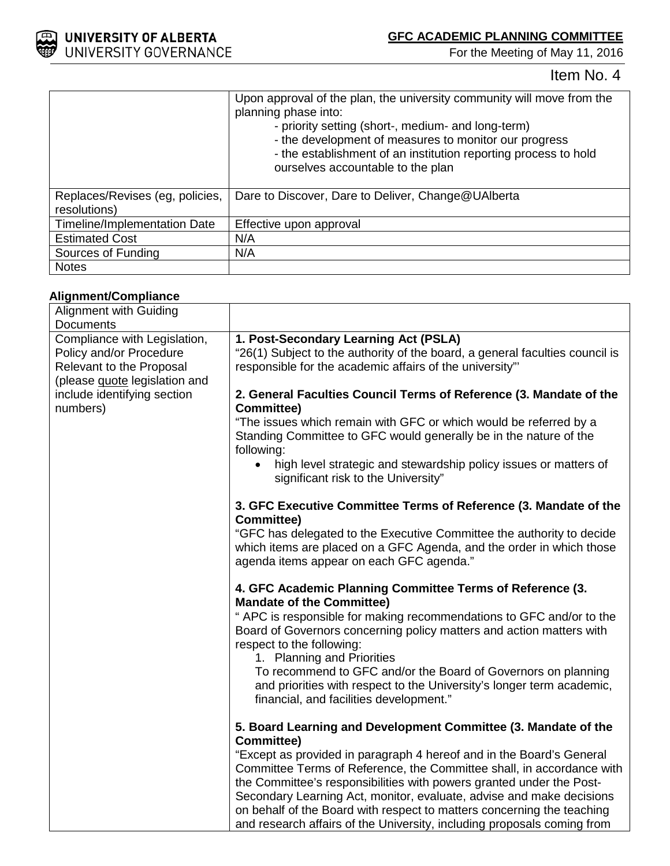

For the Meeting of May 11, 2016

Item No. 4

|                                                 | Upon approval of the plan, the university community will move from the<br>planning phase into:<br>- priority setting (short-, medium- and long-term)<br>- the development of measures to monitor our progress<br>- the establishment of an institution reporting process to hold<br>ourselves accountable to the plan |
|-------------------------------------------------|-----------------------------------------------------------------------------------------------------------------------------------------------------------------------------------------------------------------------------------------------------------------------------------------------------------------------|
| Replaces/Revises (eg, policies,<br>resolutions) | Dare to Discover, Dare to Deliver, Change@UAlberta                                                                                                                                                                                                                                                                    |
| Timeline/Implementation Date                    | Effective upon approval                                                                                                                                                                                                                                                                                               |
| <b>Estimated Cost</b>                           | N/A                                                                                                                                                                                                                                                                                                                   |
| Sources of Funding                              | N/A                                                                                                                                                                                                                                                                                                                   |
| <b>Notes</b>                                    |                                                                                                                                                                                                                                                                                                                       |

## **Alignment/Compliance**

| Alignment with Guiding                                                                                                                                                 |                                                                                                                                                                                                                                                                                                                                                                                                                                                    |
|------------------------------------------------------------------------------------------------------------------------------------------------------------------------|----------------------------------------------------------------------------------------------------------------------------------------------------------------------------------------------------------------------------------------------------------------------------------------------------------------------------------------------------------------------------------------------------------------------------------------------------|
| Documents                                                                                                                                                              |                                                                                                                                                                                                                                                                                                                                                                                                                                                    |
| Compliance with Legislation,<br>Policy and/or Procedure<br><b>Relevant to the Proposal</b><br>(please guote legislation and<br>include identifying section<br>numbers) | 1. Post-Secondary Learning Act (PSLA)<br>"26(1) Subject to the authority of the board, a general faculties council is<br>responsible for the academic affairs of the university"                                                                                                                                                                                                                                                                   |
|                                                                                                                                                                        | 2. General Faculties Council Terms of Reference (3. Mandate of the<br><b>Committee)</b>                                                                                                                                                                                                                                                                                                                                                            |
|                                                                                                                                                                        | "The issues which remain with GFC or which would be referred by a<br>Standing Committee to GFC would generally be in the nature of the<br>following:                                                                                                                                                                                                                                                                                               |
|                                                                                                                                                                        | high level strategic and stewardship policy issues or matters of<br>significant risk to the University"                                                                                                                                                                                                                                                                                                                                            |
|                                                                                                                                                                        | 3. GFC Executive Committee Terms of Reference (3. Mandate of the<br><b>Committee)</b>                                                                                                                                                                                                                                                                                                                                                              |
|                                                                                                                                                                        | "GFC has delegated to the Executive Committee the authority to decide<br>which items are placed on a GFC Agenda, and the order in which those<br>agenda items appear on each GFC agenda."                                                                                                                                                                                                                                                          |
|                                                                                                                                                                        | 4. GFC Academic Planning Committee Terms of Reference (3.<br><b>Mandate of the Committee)</b>                                                                                                                                                                                                                                                                                                                                                      |
|                                                                                                                                                                        | " APC is responsible for making recommendations to GFC and/or to the<br>Board of Governors concerning policy matters and action matters with<br>respect to the following:                                                                                                                                                                                                                                                                          |
|                                                                                                                                                                        | 1. Planning and Priorities<br>To recommend to GFC and/or the Board of Governors on planning<br>and priorities with respect to the University's longer term academic,<br>financial, and facilities development."                                                                                                                                                                                                                                    |
|                                                                                                                                                                        | 5. Board Learning and Development Committee (3. Mandate of the<br><b>Committee)</b>                                                                                                                                                                                                                                                                                                                                                                |
|                                                                                                                                                                        | "Except as provided in paragraph 4 hereof and in the Board's General<br>Committee Terms of Reference, the Committee shall, in accordance with<br>the Committee's responsibilities with powers granted under the Post-<br>Secondary Learning Act, monitor, evaluate, advise and make decisions<br>on behalf of the Board with respect to matters concerning the teaching<br>and research affairs of the University, including proposals coming from |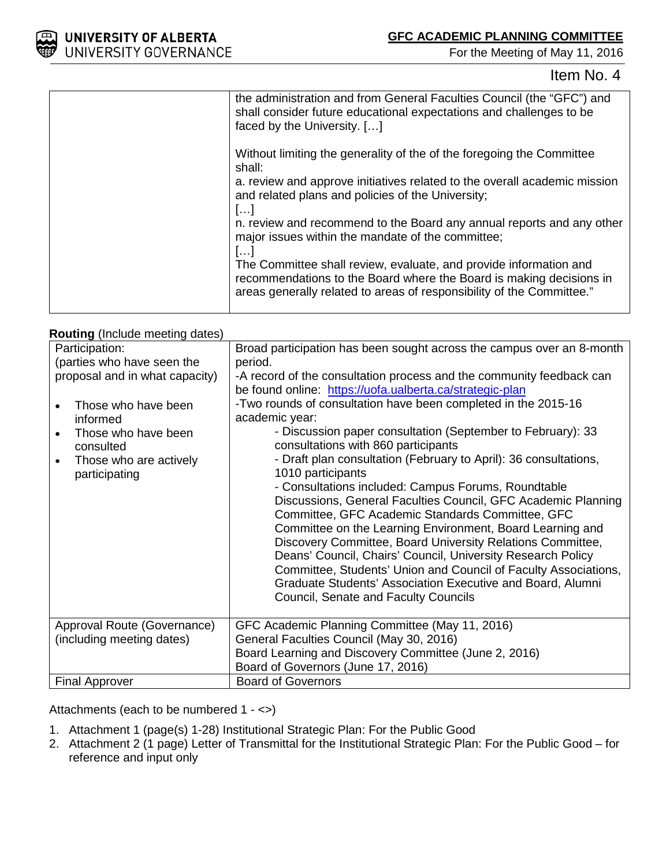

For the Meeting of May 11, 2016

## Item No. 4

| the administration and from General Faculties Council (the "GFC") and<br>shall consider future educational expectations and challenges to be<br>faced by the University. []                                       |
|-------------------------------------------------------------------------------------------------------------------------------------------------------------------------------------------------------------------|
| Without limiting the generality of the of the foregoing the Committee<br>shall:                                                                                                                                   |
| a. review and approve initiatives related to the overall academic mission<br>and related plans and policies of the University;<br>[]                                                                              |
| n. review and recommend to the Board any annual reports and any other<br>major issues within the mandate of the committee;<br>[]                                                                                  |
| The Committee shall review, evaluate, and provide information and<br>recommendations to the Board where the Board is making decisions in<br>areas generally related to areas of responsibility of the Committee." |
|                                                                                                                                                                                                                   |

### **Routing** (Include meeting dates)

| Participation:<br>(parties who have seen the<br>proposal and in what capacity)                                              | Broad participation has been sought across the campus over an 8-month<br>period.<br>-A record of the consultation process and the community feedback can                                                                                                                                                                                                                                                                                                                                                                                                                                                                                              |
|-----------------------------------------------------------------------------------------------------------------------------|-------------------------------------------------------------------------------------------------------------------------------------------------------------------------------------------------------------------------------------------------------------------------------------------------------------------------------------------------------------------------------------------------------------------------------------------------------------------------------------------------------------------------------------------------------------------------------------------------------------------------------------------------------|
|                                                                                                                             | be found online: https://uofa.ualberta.ca/strategic-plan                                                                                                                                                                                                                                                                                                                                                                                                                                                                                                                                                                                              |
| Those who have been<br>informed<br>Those who have been<br>consulted<br>Those who are actively<br>$\bullet$<br>participating | -Two rounds of consultation have been completed in the 2015-16<br>academic year:<br>- Discussion paper consultation (September to February): 33<br>consultations with 860 participants<br>- Draft plan consultation (February to April): 36 consultations,<br>1010 participants<br>- Consultations included: Campus Forums, Roundtable<br>Discussions, General Faculties Council, GFC Academic Planning<br>Committee, GFC Academic Standards Committee, GFC<br>Committee on the Learning Environment, Board Learning and<br>Discovery Committee, Board University Relations Committee,<br>Deans' Council, Chairs' Council, University Research Policy |
|                                                                                                                             | Committee, Students' Union and Council of Faculty Associations,<br>Graduate Students' Association Executive and Board, Alumni<br>Council, Senate and Faculty Councils                                                                                                                                                                                                                                                                                                                                                                                                                                                                                 |
| Approval Route (Governance)                                                                                                 | GFC Academic Planning Committee (May 11, 2016)                                                                                                                                                                                                                                                                                                                                                                                                                                                                                                                                                                                                        |
| (including meeting dates)                                                                                                   | General Faculties Council (May 30, 2016)                                                                                                                                                                                                                                                                                                                                                                                                                                                                                                                                                                                                              |
|                                                                                                                             | Board Learning and Discovery Committee (June 2, 2016)                                                                                                                                                                                                                                                                                                                                                                                                                                                                                                                                                                                                 |
|                                                                                                                             | Board of Governors (June 17, 2016)                                                                                                                                                                                                                                                                                                                                                                                                                                                                                                                                                                                                                    |
| <b>Final Approver</b>                                                                                                       | <b>Board of Governors</b>                                                                                                                                                                                                                                                                                                                                                                                                                                                                                                                                                                                                                             |

Attachments (each to be numbered 1 - <>)

- 1. Attachment 1 (page(s) 1-28) Institutional Strategic Plan: For the Public Good
- 2. Attachment 2 (1 page) Letter of Transmittal for the Institutional Strategic Plan: For the Public Good for reference and input only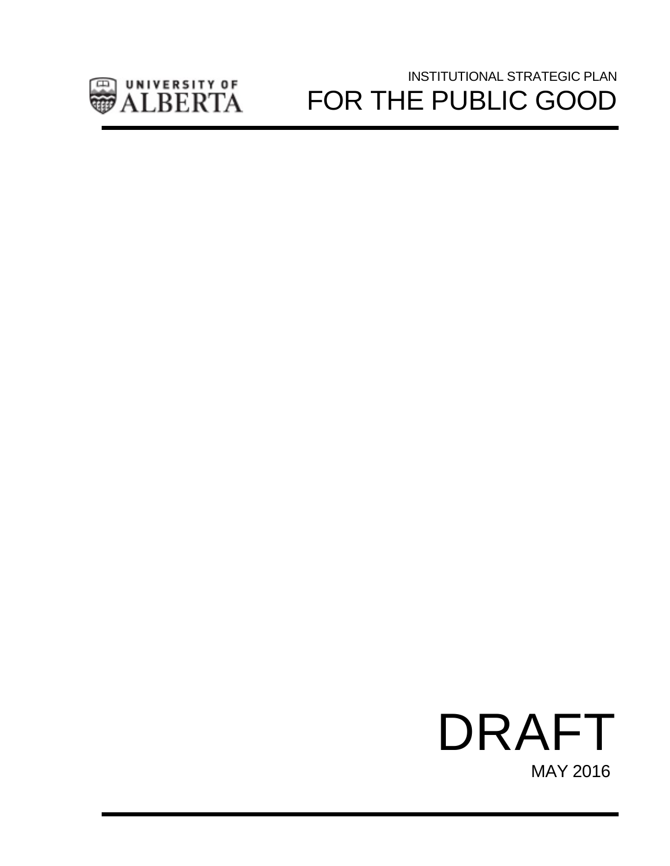

# INSTITUTIONAL STRATEGIC PLAN FOR THE PUBLIC GOOD

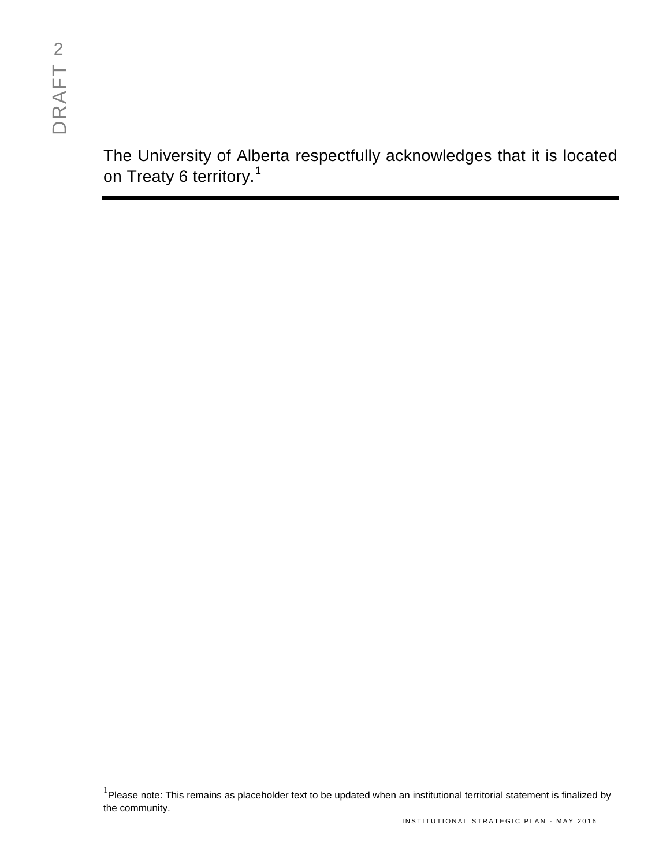The University of Alberta respectfully acknowledges that it is located on Treaty 6 territory.<sup>[1](#page-5-0)</sup>

<span id="page-5-0"></span> <sup>1</sup> Please note: This remains as placeholder text to be updated when an institutional territorial statement is finalized by the community.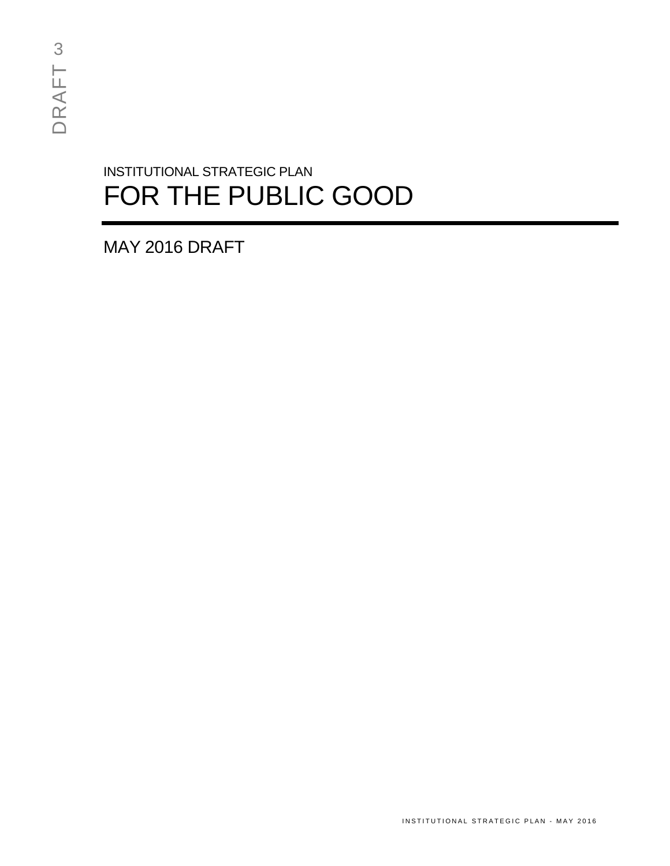# INSTITUTIONAL STRATEGIC PLAN FOR THE PUBLIC GOOD

MAY 2016 DRAFT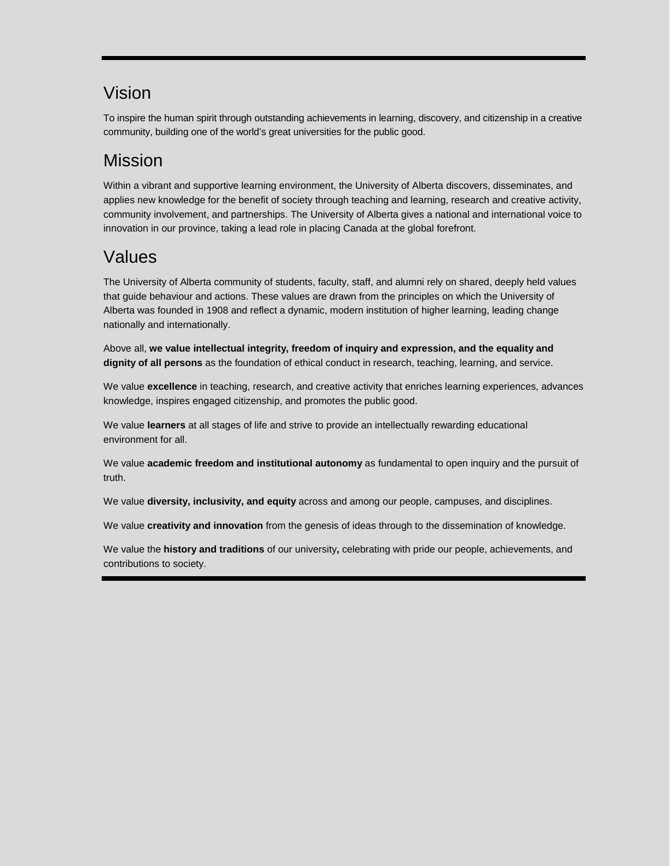# Vision

To inspire the human spirit through outstanding achievements in learning, discovery, and citizenship in a creative community, building one of the world's great universities for the public good.

# Mission

Within a vibrant and supportive learning environment, the University of Alberta discovers, disseminates, and applies new knowledge for the benefit of society through teaching and learning, research and creative activity, community involvement, and partnerships. The University of Alberta gives a national and international voice to innovation in our province, taking a lead role in placing Canada at the global forefront.

# Values

The University of Alberta community of students, faculty, staff, and alumni rely on shared, deeply held values that guide behaviour and actions. These values are drawn from the principles on which the University of Alberta was founded in 1908 and reflect a dynamic, modern institution of higher learning, leading change nationally and internationally.

Above all, **we value intellectual integrity, freedom of inquiry and expression, and the equality and dignity of all persons** as the foundation of ethical conduct in research, teaching, learning, and service.

We value **excellence** in teaching, research, and creative activity that enriches learning experiences, advances knowledge, inspires engaged citizenship, and promotes the public good.

We value **learners** at all stages of life and strive to provide an intellectually rewarding educational environment for all.

We value **academic freedom and institutional autonomy** as fundamental to open inquiry and the pursuit of truth.

We value **diversity, inclusivity, and equity** across and among our people, campuses, and disciplines.

We value **creativity and innovation** from the genesis of ideas through to the dissemination of knowledge.

We value the **history and traditions** of our university**,** celebrating with pride our people, achievements, and contributions to society.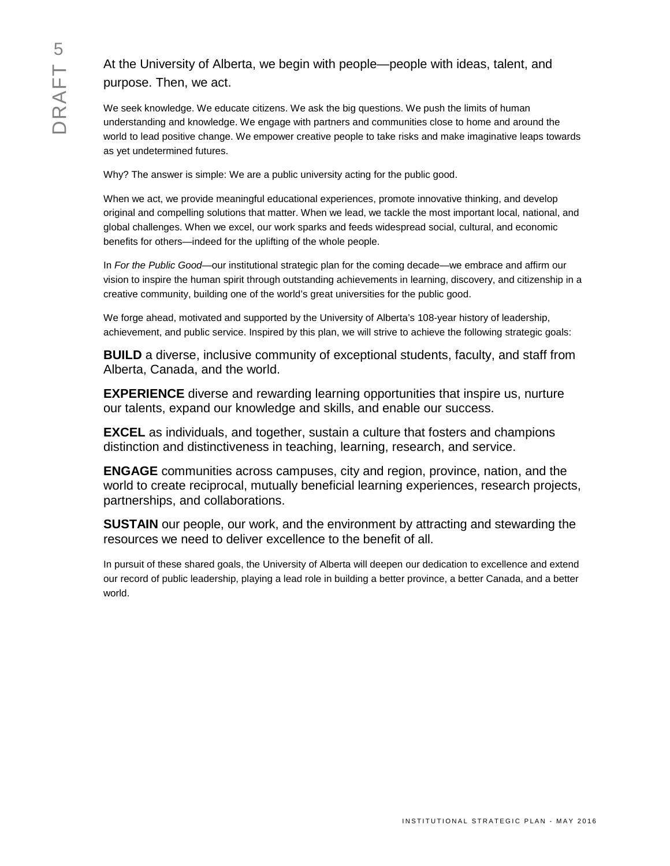## At the University of Alberta, we begin with people—people with ideas, talent, and purpose. Then, we act.

We seek knowledge. We educate citizens. We ask the big questions. We push the limits of human understanding and knowledge. We engage with partners and communities close to home and around the world to lead positive change. We empower creative people to take risks and make imaginative leaps towards as yet undetermined futures.

Why? The answer is simple: We are a public university acting for the public good.

When we act, we provide meaningful educational experiences, promote innovative thinking, and develop original and compelling solutions that matter. When we lead, we tackle the most important local, national, and global challenges. When we excel, our work sparks and feeds widespread social, cultural, and economic benefits for others—indeed for the uplifting of the whole people.

In *For the Public Good*—our institutional strategic plan for the coming decade—we embrace and affirm our vision to inspire the human spirit through outstanding achievements in learning, discovery, and citizenship in a creative community, building one of the world's great universities for the public good.

We forge ahead, motivated and supported by the University of Alberta's 108-year history of leadership, achievement, and public service. Inspired by this plan, we will strive to achieve the following strategic goals:

**BUILD** a diverse, inclusive community of exceptional students, faculty, and staff from Alberta, Canada, and the world.

**EXPERIENCE** diverse and rewarding learning opportunities that inspire us, nurture our talents, expand our knowledge and skills, and enable our success.

**EXCEL** as individuals, and together, sustain a culture that fosters and champions distinction and distinctiveness in teaching, learning, research, and service.

**ENGAGE** communities across campuses, city and region, province, nation, and the world to create reciprocal, mutually beneficial learning experiences, research projects, partnerships, and collaborations.

**SUSTAIN** our people, our work, and the environment by attracting and stewarding the resources we need to deliver excellence to the benefit of all.

In pursuit of these shared goals, the University of Alberta will deepen our dedication to excellence and extend our record of public leadership, playing a lead role in building a better province, a better Canada, and a better world.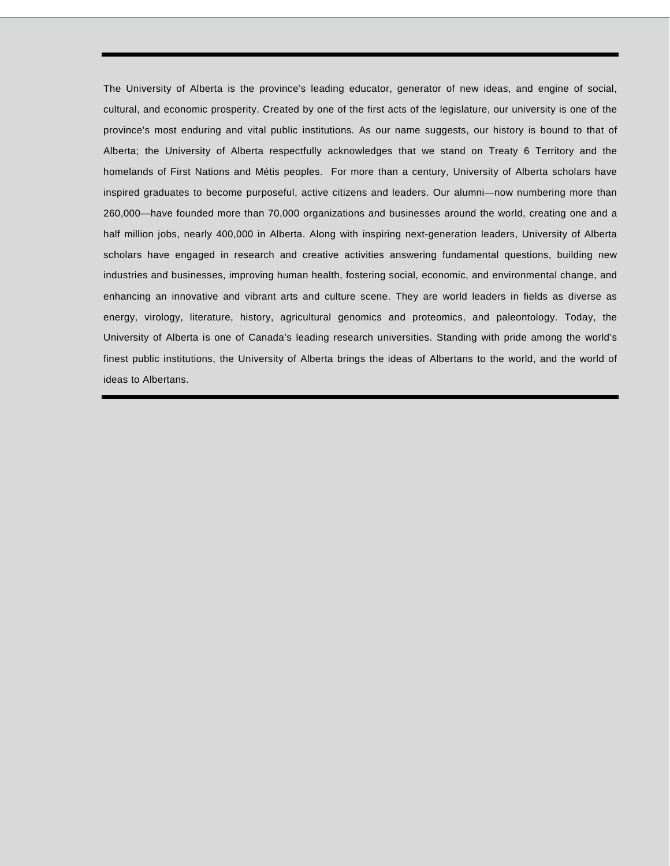The University of Alberta is the province's leading educator, generator of new ideas, and engine of social, cultural, and economic prosperity. Created by one of the first acts of the legislature, our university is one of the province's most enduring and vital public institutions. As our name suggests, our history is bound to that of Alberta; the University of Alberta respectfully acknowledges that we stand on Treaty 6 Territory and the homelands of First Nations and Métis peoples. For more than a century, University of Alberta scholars have inspired graduates to become purposeful, active citizens and leaders. Our alumni—now numbering more than 260,000—have founded more than 70,000 organizations and businesses around the world, creating one and a half million jobs, nearly 400,000 in Alberta. Along with inspiring next-generation leaders, University of Alberta scholars have engaged in research and creative activities answering fundamental questions, building new industries and businesses, improving human health, fostering social, economic, and environmental change, and enhancing an innovative and vibrant arts and culture scene. They are world leaders in fields as diverse as energy, virology, literature, history, agricultural genomics and proteomics, and paleontology. Today, the University of Alberta is one of Canada's leading research universities. Standing with pride among the world's finest public institutions, the University of Alberta brings the ideas of Albertans to the world, and the world of ideas to Albertans.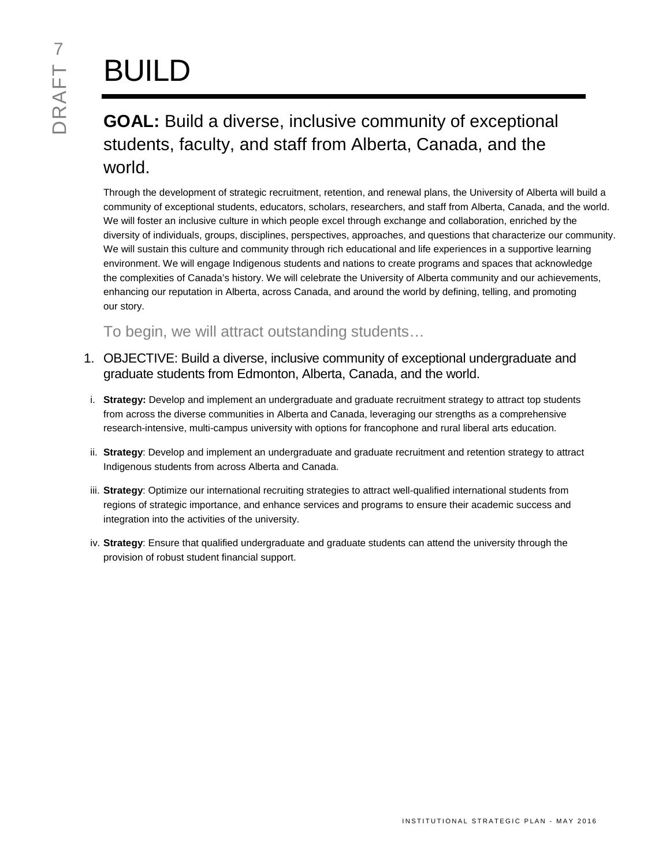# BUILD

# **GOAL:** Build a diverse, inclusive community of exceptional students, faculty, and staff from Alberta, Canada, and the world.

Through the development of strategic recruitment, retention, and renewal plans, the University of Alberta will build a community of exceptional students, educators, scholars, researchers, and staff from Alberta, Canada, and the world. We will foster an inclusive culture in which people excel through exchange and collaboration, enriched by the diversity of individuals, groups, disciplines, perspectives, approaches, and questions that characterize our community. We will sustain this culture and community through rich educational and life experiences in a supportive learning environment. We will engage Indigenous students and nations to create programs and spaces that acknowledge the complexities of Canada's history. We will celebrate the University of Alberta community and our achievements, enhancing our reputation in Alberta, across Canada, and around the world by defining, telling, and promoting our story.

To begin, we will attract outstanding students…

- 1. OBJECTIVE: Build a diverse, inclusive community of exceptional undergraduate and graduate students from Edmonton, Alberta, Canada, and the world.
- i. **Strategy:** Develop and implement an undergraduate and graduate recruitment strategy to attract top students from across the diverse communities in Alberta and Canada, leveraging our strengths as a comprehensive research-intensive, multi-campus university with options for francophone and rural liberal arts education.
- ii. **Strategy**: Develop and implement an undergraduate and graduate recruitment and retention strategy to attract Indigenous students from across Alberta and Canada.
- iii. **Strategy**: Optimize our international recruiting strategies to attract well-qualified international students from regions of strategic importance, and enhance services and programs to ensure their academic success and integration into the activities of the university.
- iv. **Strategy**: Ensure that qualified undergraduate and graduate students can attend the university through the provision of robust student financial support.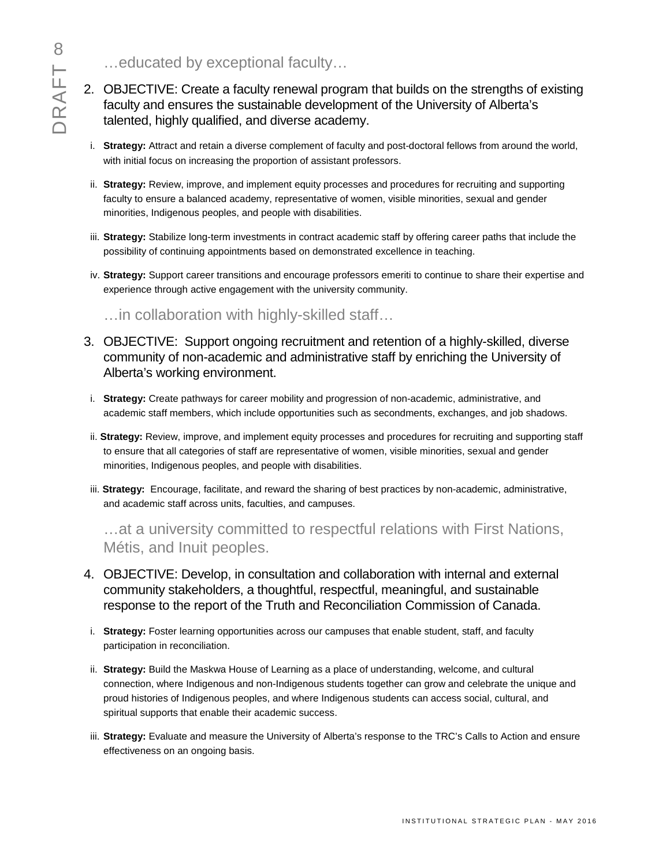…educated by exceptional faculty…

- 2. OBJECTIVE: Create a faculty renewal program that builds on the strengths of existing faculty and ensures the sustainable development of the University of Alberta's talented, highly qualified, and diverse academy.
- i. **Strategy:** Attract and retain a diverse complement of faculty and post-doctoral fellows from around the world, with initial focus on increasing the proportion of assistant professors.
- ii. **Strategy:** Review, improve, and implement equity processes and procedures for recruiting and supporting faculty to ensure a balanced academy, representative of women, visible minorities, sexual and gender minorities, Indigenous peoples, and people with disabilities.
- iii. **Strategy:** Stabilize long-term investments in contract academic staff by offering career paths that include the possibility of continuing appointments based on demonstrated excellence in teaching.
- iv. **Strategy:** Support career transitions and encourage professors emeriti to continue to share their expertise and experience through active engagement with the university community.

…in collaboration with highly-skilled staff…

- 3. OBJECTIVE: Support ongoing recruitment and retention of a highly-skilled, diverse community of non-academic and administrative staff by enriching the University of Alberta's working environment.
- i. **Strategy:** Create pathways for career mobility and progression of non-academic, administrative, and academic staff members, which include opportunities such as secondments, exchanges, and job shadows.
- ii. **Strategy:** Review, improve, and implement equity processes and procedures for recruiting and supporting staff to ensure that all categories of staff are representative of women, visible minorities, sexual and gender minorities, Indigenous peoples, and people with disabilities.
- iii. **Strategy:** Encourage, facilitate, and reward the sharing of best practices by non-academic, administrative, and academic staff across units, faculties, and campuses.

…at a university committed to respectful relations with First Nations, Métis, and Inuit peoples.

- 4. OBJECTIVE: Develop, in consultation and collaboration with internal and external community stakeholders, a thoughtful, respectful, meaningful, and sustainable response to the report of the Truth and Reconciliation Commission of Canada.
- i. **Strategy:** Foster learning opportunities across our campuses that enable student, staff, and faculty participation in reconciliation.
- ii. **Strategy:** Build the Maskwa House of Learning as a place of understanding, welcome, and cultural connection, where Indigenous and non-Indigenous students together can grow and celebrate the unique and proud histories of Indigenous peoples, and where Indigenous students can access social, cultural, and spiritual supports that enable their academic success.
- iii. **Strategy:** Evaluate and measure the University of Alberta's response to the TRC's Calls to Action and ensure effectiveness on an ongoing basis.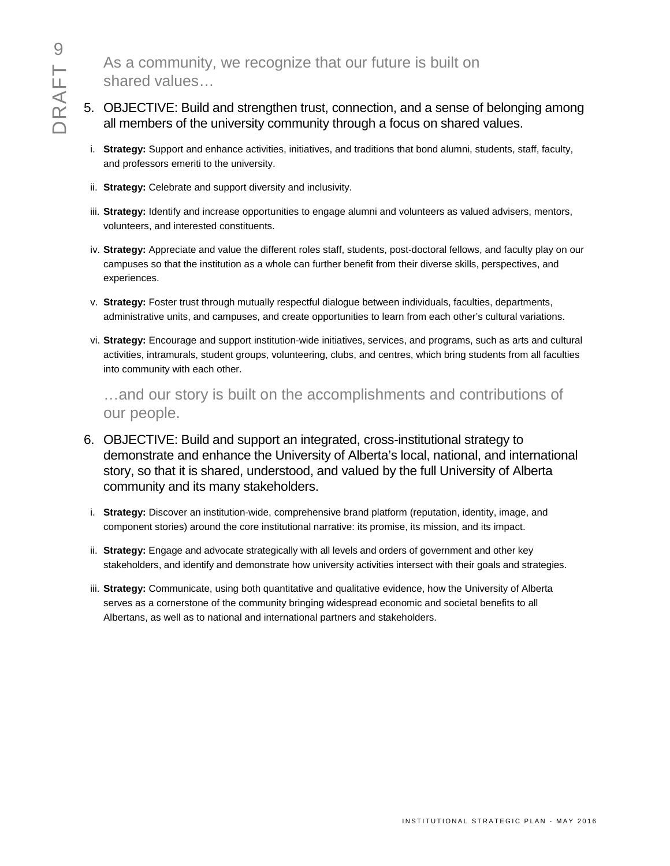As a community, we recognize that our future is built on shared values…

- 5. OBJECTIVE: Build and strengthen trust, connection, and a sense of belonging among all members of the university community through a focus on shared values.
	- i. **Strategy:** Support and enhance activities, initiatives, and traditions that bond alumni, students, staff, faculty, and professors emeriti to the university.
	- ii. **Strategy:** Celebrate and support diversity and inclusivity.
	- iii. **Strategy:** Identify and increase opportunities to engage alumni and volunteers as valued advisers, mentors, volunteers, and interested constituents.
	- iv. **Strategy:** Appreciate and value the different roles staff, students, post-doctoral fellows, and faculty play on our campuses so that the institution as a whole can further benefit from their diverse skills, perspectives, and experiences.
- v. **Strategy:** Foster trust through mutually respectful dialogue between individuals, faculties, departments, administrative units, and campuses, and create opportunities to learn from each other's cultural variations.
- vi. **Strategy:** Encourage and support institution-wide initiatives, services, and programs, such as arts and cultural activities, intramurals, student groups, volunteering, clubs, and centres, which bring students from all faculties into community with each other.

…and our story is built on the accomplishments and contributions of our people.

- 6. OBJECTIVE: Build and support an integrated, cross-institutional strategy to demonstrate and enhance the University of Alberta's local, national, and international story, so that it is shared, understood, and valued by the full University of Alberta community and its many stakeholders.
- i. **Strategy:** Discover an institution-wide, comprehensive brand platform (reputation, identity, image, and component stories) around the core institutional narrative: its promise, its mission, and its impact.
- ii. **Strategy:** Engage and advocate strategically with all levels and orders of government and other key stakeholders, and identify and demonstrate how university activities intersect with their goals and strategies.
- iii. **Strategy:** Communicate, using both quantitative and qualitative evidence, how the University of Alberta serves as a cornerstone of the community bringing widespread economic and societal benefits to all Albertans, as well as to national and international partners and stakeholders.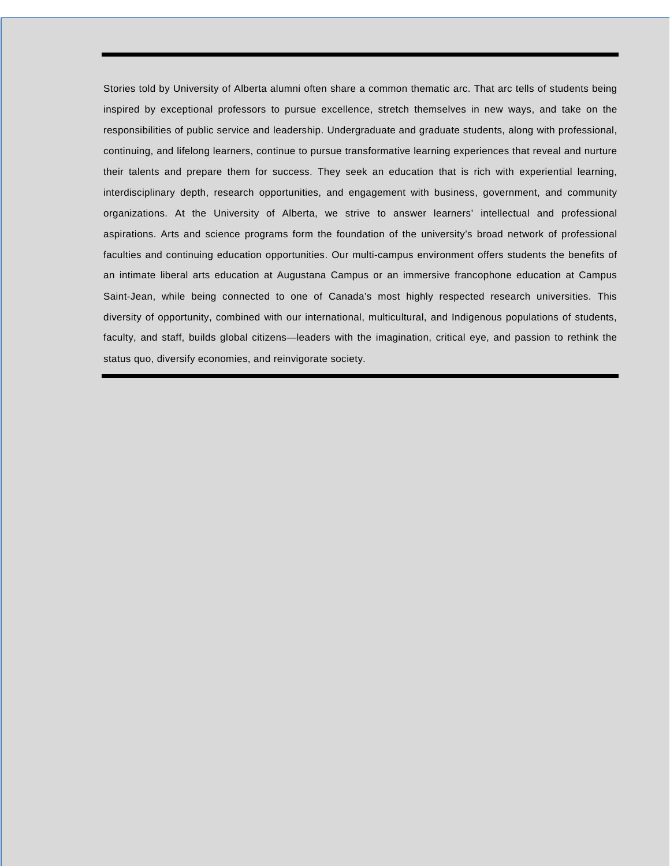Stories told by University of Alberta alumni often share a common thematic arc. That arc tells of students being inspired by exceptional professors to pursue excellence, stretch themselves in new ways, and take on the responsibilities of public service and leadership. Undergraduate and graduate students, along with professional, continuing, and lifelong learners, continue to pursue transformative learning experiences that reveal and nurture their talents and prepare them for success. They seek an education that is rich with experiential learning, interdisciplinary depth, research opportunities, and engagement with business, government, and community organizations. At the University of Alberta, we strive to answer learners' intellectual and professional aspirations. Arts and science programs form the foundation of the university's broad network of professional faculties and continuing education opportunities. Our multi-campus environment offers students the benefits of an intimate liberal arts education at Augustana Campus or an immersive francophone education at Campus Saint-Jean, while being connected to one of Canada's most highly respected research universities. This diversity of opportunity, combined with our international, multicultural, and Indigenous populations of students, faculty, and staff, builds global citizens—leaders with the imagination, critical eye, and passion to rethink the status quo, diversify economies, and reinvigorate society.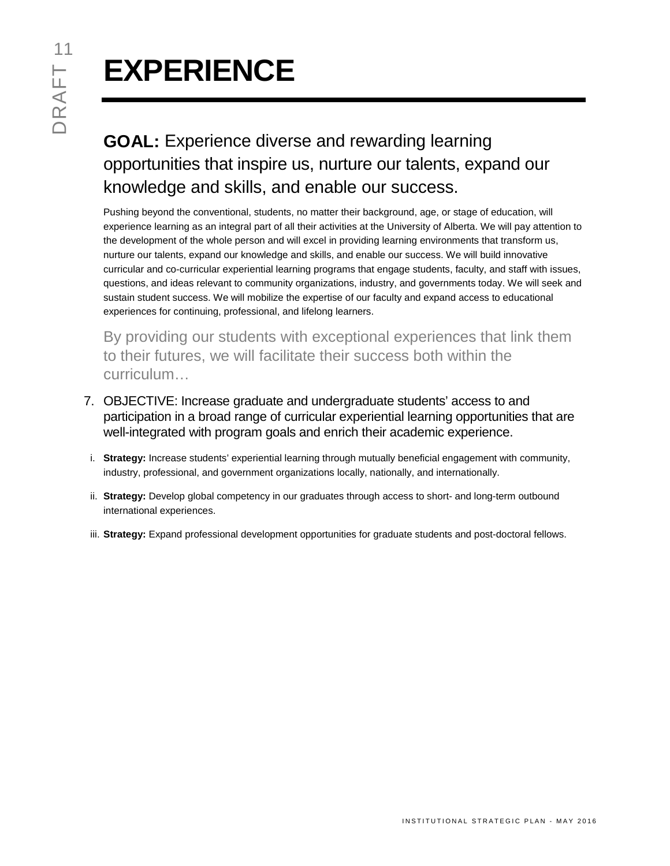# **EXPERIENCE**

# **GOAL:** Experience diverse and rewarding learning opportunities that inspire us, nurture our talents, expand our knowledge and skills, and enable our success.

Pushing beyond the conventional, students, no matter their background, age, or stage of education, will experience learning as an integral part of all their activities at the University of Alberta. We will pay attention to the development of the whole person and will excel in providing learning environments that transform us, nurture our talents, expand our knowledge and skills, and enable our success. We will build innovative curricular and co-curricular experiential learning programs that engage students, faculty, and staff with issues, questions, and ideas relevant to community organizations, industry, and governments today. We will seek and sustain student success. We will mobilize the expertise of our faculty and expand access to educational experiences for continuing, professional, and lifelong learners.

By providing our students with exceptional experiences that link them to their futures, we will facilitate their success both within the curriculum…

- 7. OBJECTIVE: Increase graduate and undergraduate students' access to and participation in a broad range of curricular experiential learning opportunities that are well-integrated with program goals and enrich their academic experience.
- i. **Strategy:** Increase students' experiential learning through mutually beneficial engagement with community, industry, professional, and government organizations locally, nationally, and internationally.
- ii. **Strategy:** Develop global competency in our graduates through access to short- and long-term outbound international experiences.
- iii. **Strategy:** Expand professional development opportunities for graduate students and post-doctoral fellows.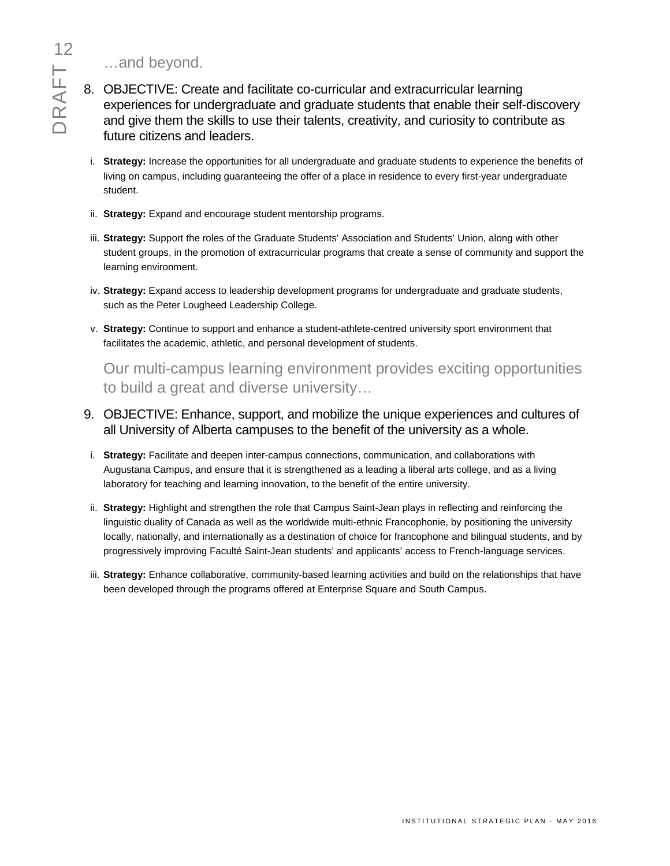…and beyond.

- 8. OBJECTIVE: Create and facilitate co-curricular and extracurricular learning experiences for undergraduate and graduate students that enable their self-discovery and give them the skills to use their talents, creativity, and curiosity to contribute as future citizens and leaders.
	- i. **Strategy:** Increase the opportunities for all undergraduate and graduate students to experience the benefits of living on campus, including guaranteeing the offer of a place in residence to every first-year undergraduate student.
	- ii. **Strategy:** Expand and encourage student mentorship programs.
	- iii. **Strategy:** Support the roles of the Graduate Students' Association and Students' Union, along with other student groups, in the promotion of extracurricular programs that create a sense of community and support the learning environment.
	- iv. **Strategy:** Expand access to leadership development programs for undergraduate and graduate students, such as the Peter Lougheed Leadership College.
	- v. **Strategy:** Continue to support and enhance a student-athlete-centred university sport environment that facilitates the academic, athletic, and personal development of students.

Our multi-campus learning environment provides exciting opportunities to build a great and diverse university…

- 9. OBJECTIVE: Enhance, support, and mobilize the unique experiences and cultures of all University of Alberta campuses to the benefit of the university as a whole.
- i. **Strategy:** Facilitate and deepen inter-campus connections, communication, and collaborations with Augustana Campus, and ensure that it is strengthened as a leading a liberal arts college, and as a living laboratory for teaching and learning innovation, to the benefit of the entire university.
- ii. **Strategy:** Highlight and strengthen the role that Campus Saint-Jean plays in reflecting and reinforcing the linguistic duality of Canada as well as the worldwide multi-ethnic Francophonie, by positioning the university locally, nationally, and internationally as a destination of choice for francophone and bilingual students, and by progressively improving Faculté Saint-Jean students' and applicants' access to French-language services.
- iii. **Strategy:** Enhance collaborative, community-based learning activities and build on the relationships that have been developed through the programs offered at Enterprise Square and South Campus.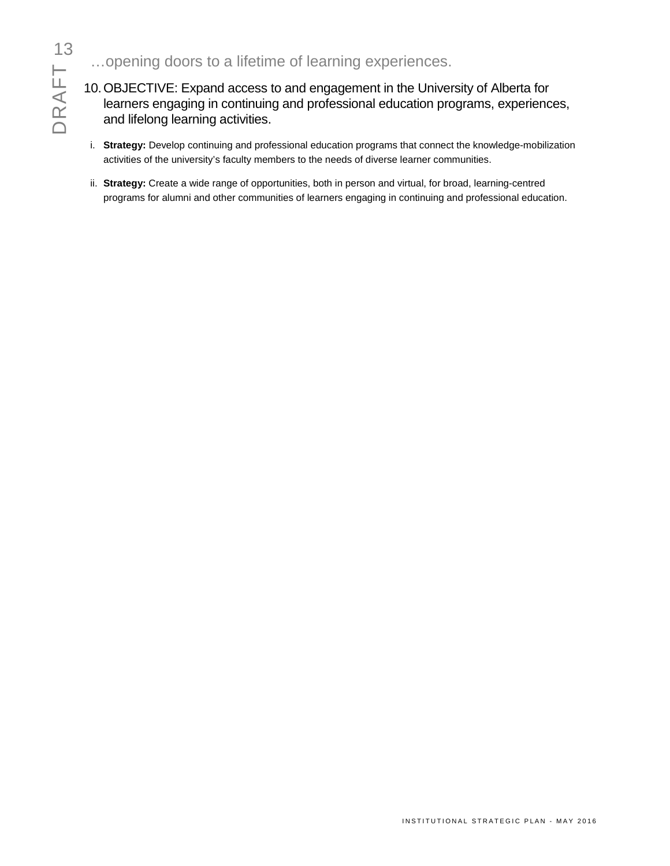# DRAFT 3

- …opening doors to a lifetime of learning experiences.
- 10.OBJECTIVE: Expand access to and engagement in the University of Alberta for learners engaging in continuing and professional education programs, experiences, and lifelong learning activities.
- i. **Strategy:** Develop continuing and professional education programs that connect the knowledge-mobilization activities of the university's faculty members to the needs of diverse learner communities.
- ii. **Strategy:** Create a wide range of opportunities, both in person and virtual, for broad, learning-centred programs for alumni and other communities of learners engaging in continuing and professional education.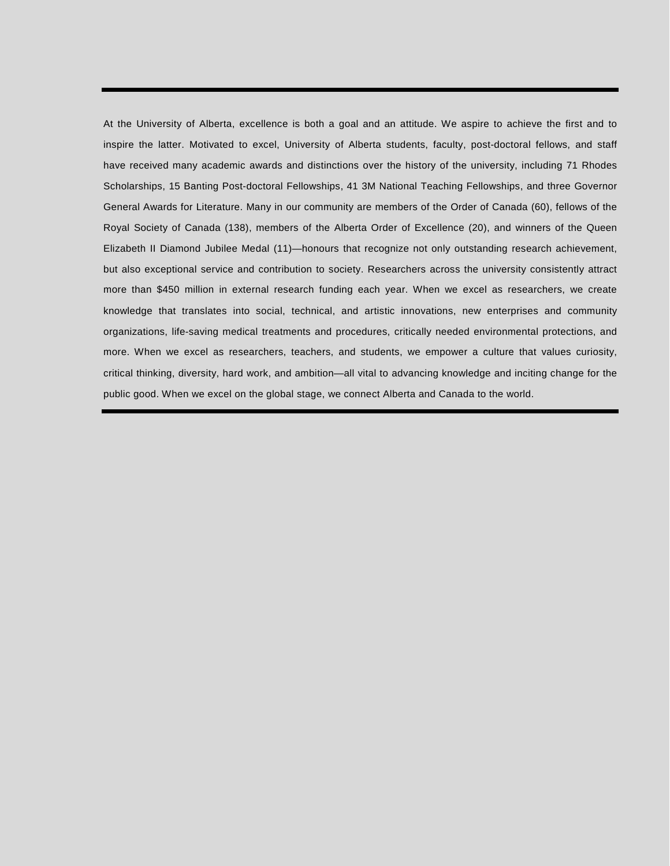At the University of Alberta, excellence is both a goal and an attitude. We aspire to achieve the first and to inspire the latter. Motivated to excel, University of Alberta students, faculty, post-doctoral fellows, and staff have received many academic awards and distinctions over the history of the university, including 71 Rhodes Scholarships, 15 Banting Post-doctoral Fellowships, 41 3M National Teaching Fellowships, and three Governor General Awards for Literature. Many in our community are members of the Order of Canada (60), fellows of the Royal Society of Canada (138), members of the Alberta Order of Excellence (20), and winners of the Queen Elizabeth II Diamond Jubilee Medal (11)—honours that recognize not only outstanding research achievement, but also exceptional service and contribution to society. Researchers across the university consistently attract more than \$450 million in external research funding each year. When we excel as researchers, we create knowledge that translates into social, technical, and artistic innovations, new enterprises and community organizations, life-saving medical treatments and procedures, critically needed environmental protections, and more. When we excel as researchers, teachers, and students, we empower a culture that values curiosity, critical thinking, diversity, hard work, and ambition—all vital to advancing knowledge and inciting change for the public good. When we excel on the global stage, we connect Alberta and Canada to the world.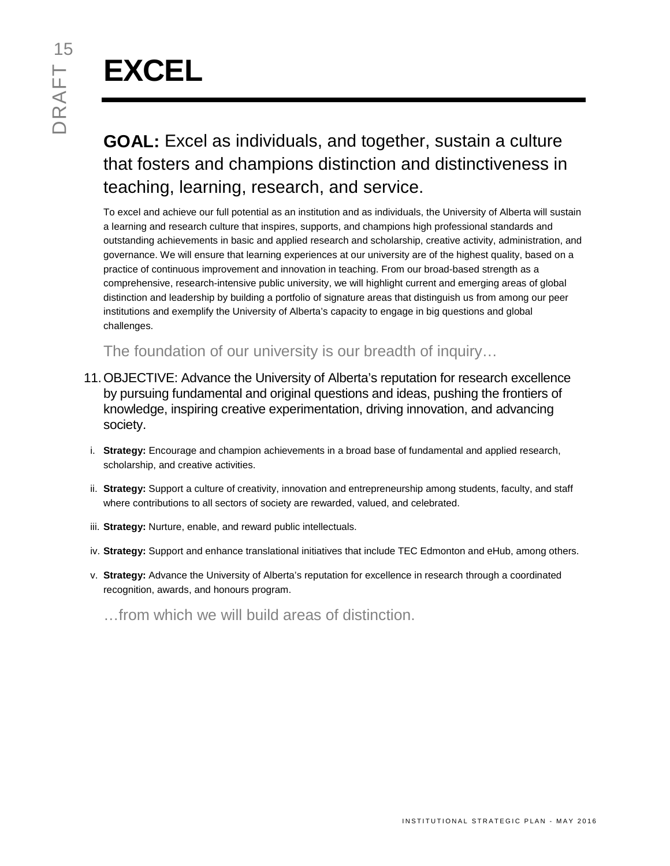# **EXCEL**

# **GOAL:** Excel as individuals, and together, sustain a culture that fosters and champions distinction and distinctiveness in teaching, learning, research, and service.

To excel and achieve our full potential as an institution and as individuals, the University of Alberta will sustain a learning and research culture that inspires, supports, and champions high professional standards and outstanding achievements in basic and applied research and scholarship, creative activity, administration, and governance. We will ensure that learning experiences at our university are of the highest quality, based on a practice of continuous improvement and innovation in teaching. From our broad-based strength as a comprehensive, research-intensive public university, we will highlight current and emerging areas of global distinction and leadership by building a portfolio of signature areas that distinguish us from among our peer institutions and exemplify the University of Alberta's capacity to engage in big questions and global challenges.

The foundation of our university is our breadth of inquiry…

- 11.OBJECTIVE: Advance the University of Alberta's reputation for research excellence by pursuing fundamental and original questions and ideas, pushing the frontiers of knowledge, inspiring creative experimentation, driving innovation, and advancing society.
- i. **Strategy:** Encourage and champion achievements in a broad base of fundamental and applied research, scholarship, and creative activities.
- ii. **Strategy:** Support a culture of creativity, innovation and entrepreneurship among students, faculty, and staff where contributions to all sectors of society are rewarded, valued, and celebrated.
- iii. **Strategy:** Nurture, enable, and reward public intellectuals.
- iv. **Strategy:** Support and enhance translational initiatives that include TEC Edmonton and eHub, among others.
- v. **Strategy:** Advance the University of Alberta's reputation for excellence in research through a coordinated recognition, awards, and honours program.

…from which we will build areas of distinction.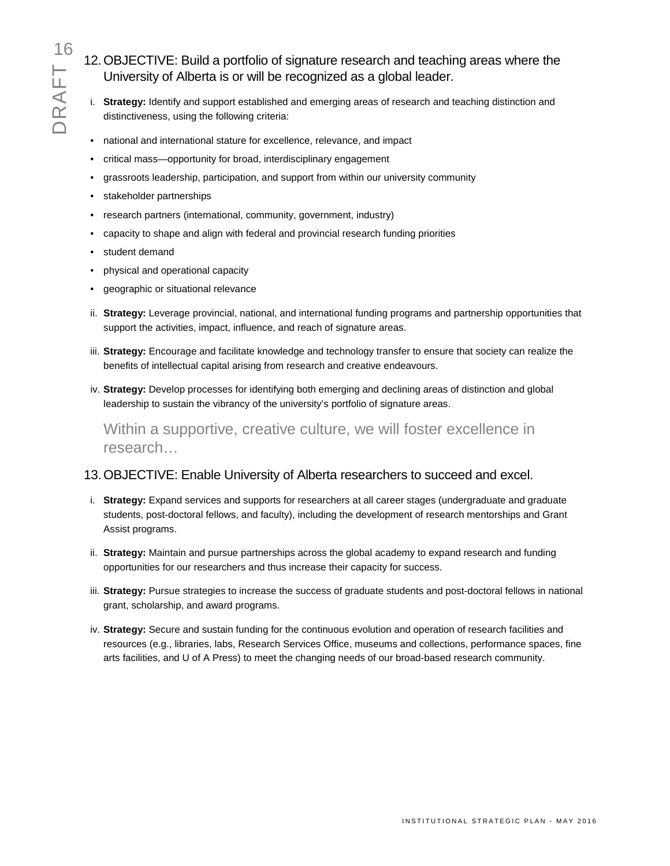16<br>12. OBJECTIVE: Build a portfolio of signature research and teaching areas where the<br>University of Alberta is or will be recognized as a global leader.<br>i. Strategy: Identify and support established and emerging areas of University of Alberta is or will be recognized as a global leader.

- i. **Strategy:** Identify and support established and emerging areas of research and teaching distinction and distinctiveness, using the following criteria:
- national and international stature for excellence, relevance, and impact
- critical mass—opportunity for broad, interdisciplinary engagement
- grassroots leadership, participation, and support from within our university community
- stakeholder partnerships
- research partners (international, community, government, industry)
- capacity to shape and align with federal and provincial research funding priorities
- student demand
- physical and operational capacity
- geographic or situational relevance
- ii. **Strategy:** Leverage provincial, national, and international funding programs and partnership opportunities that support the activities, impact, influence, and reach of signature areas.
- iii. **Strategy:** Encourage and facilitate knowledge and technology transfer to ensure that society can realize the benefits of intellectual capital arising from research and creative endeavours.
- iv. **Strategy:** Develop processes for identifying both emerging and declining areas of distinction and global leadership to sustain the vibrancy of the university's portfolio of signature areas.

Within a supportive, creative culture, we will foster excellence in research…

### 13.OBJECTIVE: Enable University of Alberta researchers to succeed and excel.

- i. **Strategy:** Expand services and supports for researchers at all career stages (undergraduate and graduate students, post-doctoral fellows, and faculty), including the development of research mentorships and Grant Assist programs.
- ii. **Strategy:** Maintain and pursue partnerships across the global academy to expand research and funding opportunities for our researchers and thus increase their capacity for success.
- iii. **Strategy:** Pursue strategies to increase the success of graduate students and post-doctoral fellows in national grant, scholarship, and award programs.
- iv. **Strategy:** Secure and sustain funding for the continuous evolution and operation of research facilities and resources (e.g., libraries, labs, Research Services Office, museums and collections, performance spaces, fine arts facilities, and U of A Press) to meet the changing needs of our broad-based research community.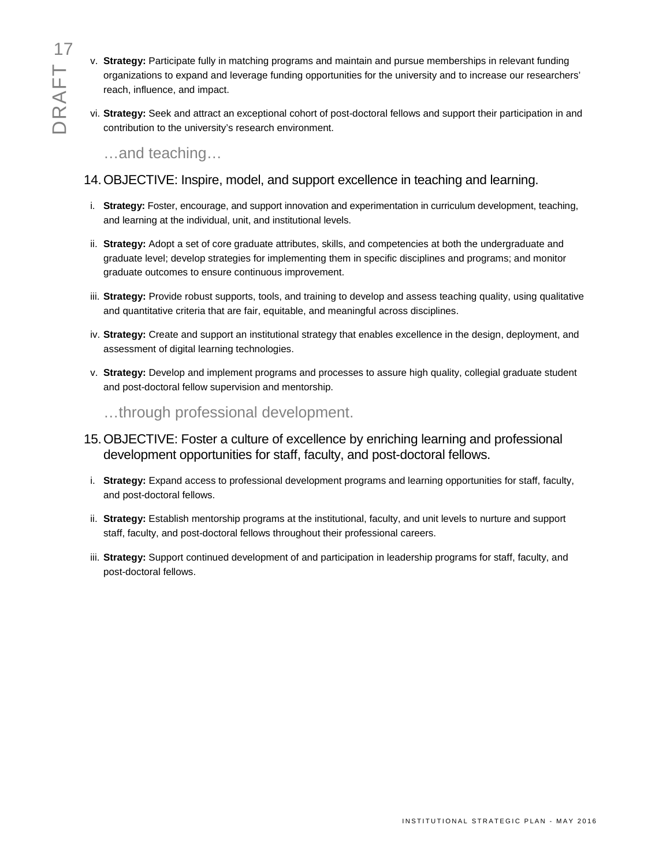- v. **Strategy:** Participate fully in matching programs and maintain and pursue memberships in relevant funding organizations to expand and leverage funding opportunities for the university and to increase our researchers' reach, influence, and impact.
- vi. **Strategy:** Seek and attract an exceptional cohort of post-doctoral fellows and support their participation in and contribution to the university's research environment.

…and teaching…

### 14.OBJECTIVE: Inspire, model, and support excellence in teaching and learning.

- i. **Strategy:** Foster, encourage, and support innovation and experimentation in curriculum development, teaching, and learning at the individual, unit, and institutional levels.
- ii. **Strategy:** Adopt a set of core graduate attributes, skills, and competencies at both the undergraduate and graduate level; develop strategies for implementing them in specific disciplines and programs; and monitor graduate outcomes to ensure continuous improvement.
- iii. **Strategy:** Provide robust supports, tools, and training to develop and assess teaching quality, using qualitative and quantitative criteria that are fair, equitable, and meaningful across disciplines.
- iv. **Strategy:** Create and support an institutional strategy that enables excellence in the design, deployment, and assessment of digital learning technologies.
- v. **Strategy:** Develop and implement programs and processes to assure high quality, collegial graduate student and post-doctoral fellow supervision and mentorship.

…through professional development.

- 15.OBJECTIVE: Foster a culture of excellence by enriching learning and professional development opportunities for staff, faculty, and post-doctoral fellows.
- i. **Strategy:** Expand access to professional development programs and learning opportunities for staff, faculty, and post-doctoral fellows.
- ii. **Strategy:** Establish mentorship programs at the institutional, faculty, and unit levels to nurture and support staff, faculty, and post-doctoral fellows throughout their professional careers.
- iii. **Strategy:** Support continued development of and participation in leadership programs for staff, faculty, and post-doctoral fellows.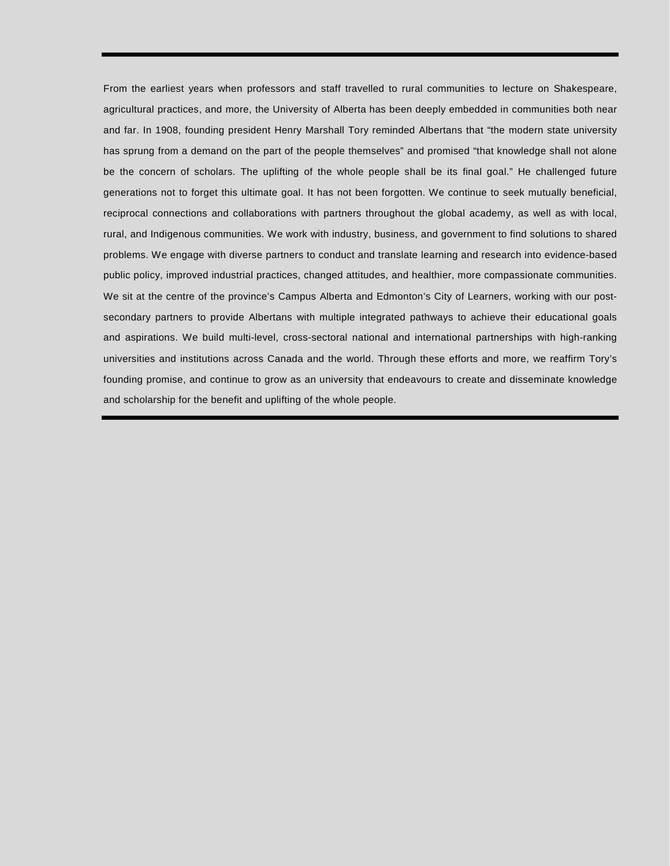From the earliest years when professors and staff travelled to rural communities to lecture on Shakespeare, agricultural practices, and more, the University of Alberta has been deeply embedded in communities both near and far. In 1908, founding president Henry Marshall Tory reminded Albertans that "the modern state university has sprung from a demand on the part of the people themselves" and promised "that knowledge shall not alone be the concern of scholars. The uplifting of the whole people shall be its final goal." He challenged future generations not to forget this ultimate goal. It has not been forgotten. We continue to seek mutually beneficial, reciprocal connections and collaborations with partners throughout the global academy, as well as with local, rural, and Indigenous communities. We work with industry, business, and government to find solutions to shared problems. We engage with diverse partners to conduct and translate learning and research into evidence-based public policy, improved industrial practices, changed attitudes, and healthier, more compassionate communities. We sit at the centre of the province's Campus Alberta and Edmonton's City of Learners, working with our postsecondary partners to provide Albertans with multiple integrated pathways to achieve their educational goals and aspirations. We build multi-level, cross-sectoral national and international partnerships with high-ranking universities and institutions across Canada and the world. Through these efforts and more, we reaffirm Tory's founding promise, and continue to grow as an university that endeavours to create and disseminate knowledge and scholarship for the benefit and uplifting of the whole people.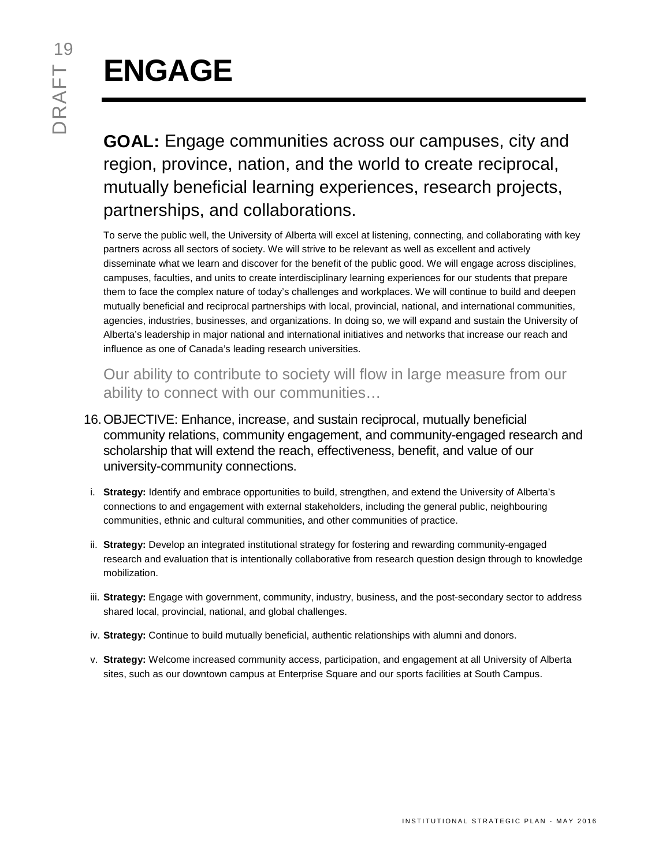# **ENGAGE**

**GOAL:** Engage communities across our campuses, city and region, province, nation, and the world to create reciprocal, mutually beneficial learning experiences, research projects, partnerships, and collaborations.

To serve the public well, the University of Alberta will excel at listening, connecting, and collaborating with key partners across all sectors of society. We will strive to be relevant as well as excellent and actively disseminate what we learn and discover for the benefit of the public good. We will engage across disciplines, campuses, faculties, and units to create interdisciplinary learning experiences for our students that prepare them to face the complex nature of today's challenges and workplaces. We will continue to build and deepen mutually beneficial and reciprocal partnerships with local, provincial, national, and international communities, agencies, industries, businesses, and organizations. In doing so, we will expand and sustain the University of Alberta's leadership in major national and international initiatives and networks that increase our reach and influence as one of Canada's leading research universities.

Our ability to contribute to society will flow in large measure from our ability to connect with our communities…

- 16.OBJECTIVE: Enhance, increase, and sustain reciprocal, mutually beneficial community relations, community engagement, and community-engaged research and scholarship that will extend the reach, effectiveness, benefit, and value of our university-community connections.
- i. **Strategy:** Identify and embrace opportunities to build, strengthen, and extend the University of Alberta's connections to and engagement with external stakeholders, including the general public, neighbouring communities, ethnic and cultural communities, and other communities of practice.
- ii. **Strategy:** Develop an integrated institutional strategy for fostering and rewarding community-engaged research and evaluation that is intentionally collaborative from research question design through to knowledge mobilization.
- iii. **Strategy:** Engage with government, community, industry, business, and the post-secondary sector to address shared local, provincial, national, and global challenges.
- iv. **Strategy:** Continue to build mutually beneficial, authentic relationships with alumni and donors.
- v. **Strategy:** Welcome increased community access, participation, and engagement at all University of Alberta sites, such as our downtown campus at Enterprise Square and our sports facilities at South Campus.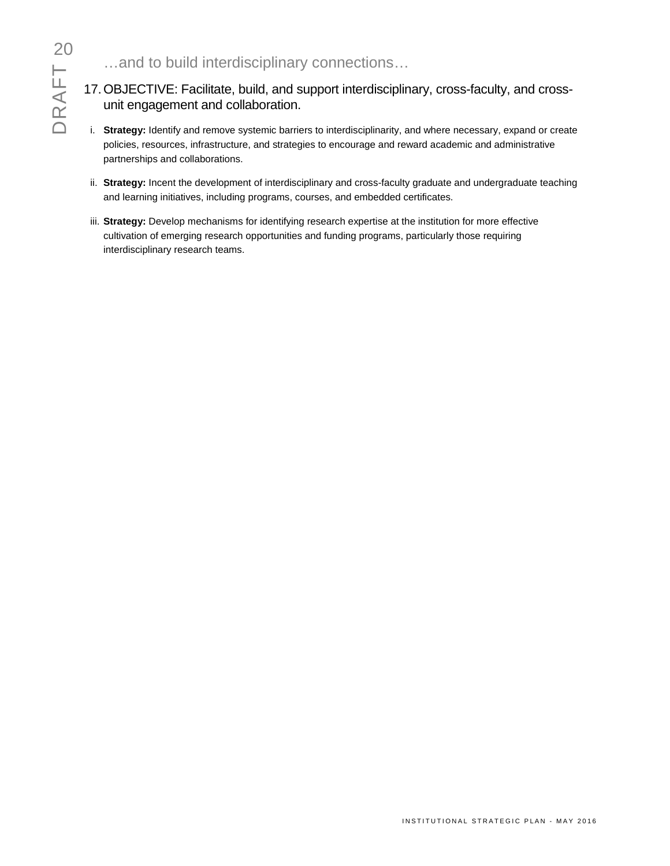## …and to build interdisciplinary connections…

### 17.OBJECTIVE: Facilitate, build, and support interdisciplinary, cross-faculty, and crossunit engagement and collaboration.

- i. **Strategy:** Identify and remove systemic barriers to interdisciplinarity, and where necessary, expand or create policies, resources, infrastructure, and strategies to encourage and reward academic and administrative partnerships and collaborations.
- ii. **Strategy:** Incent the development of interdisciplinary and cross-faculty graduate and undergraduate teaching and learning initiatives, including programs, courses, and embedded certificates.
- iii. **Strategy:** Develop mechanisms for identifying research expertise at the institution for more effective cultivation of emerging research opportunities and funding programs, particularly those requiring interdisciplinary research teams.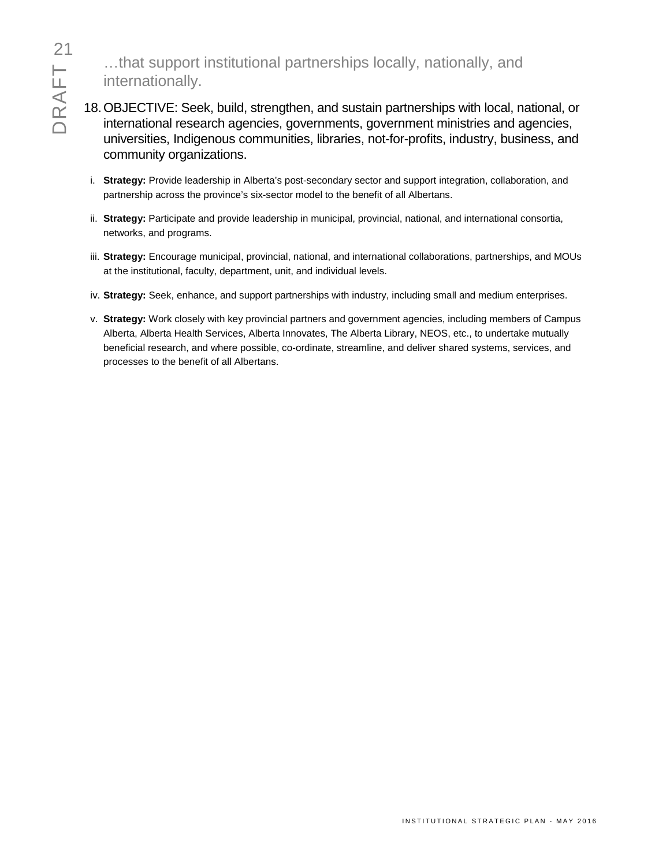…that support institutional partnerships locally, nationally, and internationally.

- 18.OBJECTIVE: Seek, build, strengthen, and sustain partnerships with local, national, or international research agencies, governments, government ministries and agencies, universities, Indigenous communities, libraries, not-for-profits, industry, business, and community organizations.
	- i. **Strategy:** Provide leadership in Alberta's post-secondary sector and support integration, collaboration, and partnership across the province's six-sector model to the benefit of all Albertans.
	- ii. **Strategy:** Participate and provide leadership in municipal, provincial, national, and international consortia, networks, and programs.
	- iii. **Strategy:** Encourage municipal, provincial, national, and international collaborations, partnerships, and MOUs at the institutional, faculty, department, unit, and individual levels.
	- iv. **Strategy:** Seek, enhance, and support partnerships with industry, including small and medium enterprises.
	- v. **Strategy:** Work closely with key provincial partners and government agencies, including members of Campus Alberta, Alberta Health Services, Alberta Innovates, The Alberta Library, NEOS, etc., to undertake mutually beneficial research, and where possible, co-ordinate, streamline, and deliver shared systems, services, and processes to the benefit of all Albertans.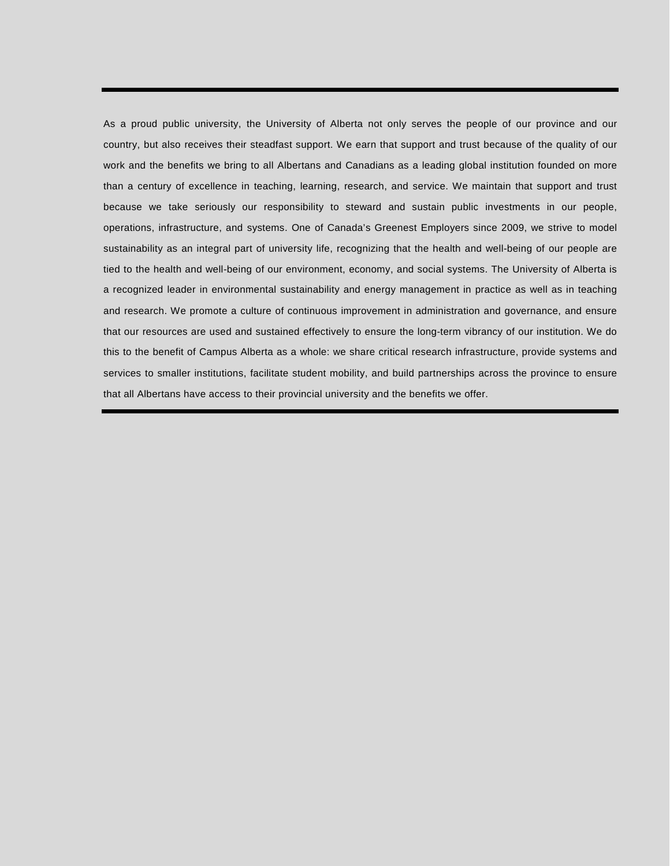As a proud public university, the University of Alberta not only serves the people of our province and our country, but also receives their steadfast support. We earn that support and trust because of the quality of our work and the benefits we bring to all Albertans and Canadians as a leading global institution founded on more than a century of excellence in teaching, learning, research, and service. We maintain that support and trust because we take seriously our responsibility to steward and sustain public investments in our people, operations, infrastructure, and systems. One of Canada's Greenest Employers since 2009, we strive to model sustainability as an integral part of university life, recognizing that the health and well-being of our people are tied to the health and well-being of our environment, economy, and social systems. The University of Alberta is a recognized leader in environmental sustainability and energy management in practice as well as in teaching and research. We promote a culture of continuous improvement in administration and governance, and ensure that our resources are used and sustained effectively to ensure the long-term vibrancy of our institution. We do this to the benefit of Campus Alberta as a whole: we share critical research infrastructure, provide systems and services to smaller institutions, facilitate student mobility, and build partnerships across the province to ensure that all Albertans have access to their provincial university and the benefits we offer.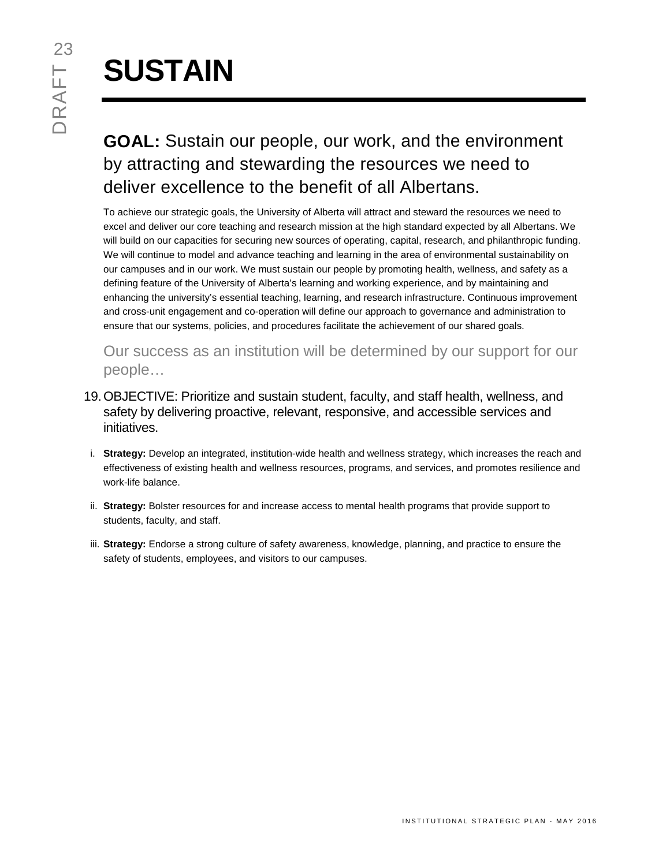# **SUSTAIN**

# **GOAL:** Sustain our people, our work, and the environment by attracting and stewarding the resources we need to deliver excellence to the benefit of all Albertans.

To achieve our strategic goals, the University of Alberta will attract and steward the resources we need to excel and deliver our core teaching and research mission at the high standard expected by all Albertans. We will build on our capacities for securing new sources of operating, capital, research, and philanthropic funding. We will continue to model and advance teaching and learning in the area of environmental sustainability on our campuses and in our work. We must sustain our people by promoting health, wellness, and safety as a defining feature of the University of Alberta's learning and working experience, and by maintaining and enhancing the university's essential teaching, learning, and research infrastructure. Continuous improvement and cross-unit engagement and co-operation will define our approach to governance and administration to ensure that our systems, policies, and procedures facilitate the achievement of our shared goals.

Our success as an institution will be determined by our support for our people…

- 19.OBJECTIVE: Prioritize and sustain student, faculty, and staff health, wellness, and safety by delivering proactive, relevant, responsive, and accessible services and initiatives.
- i. **Strategy:** Develop an integrated, institution-wide health and wellness strategy, which increases the reach and effectiveness of existing health and wellness resources, programs, and services, and promotes resilience and work-life balance.
- ii. **Strategy:** Bolster resources for and increase access to mental health programs that provide support to students, faculty, and staff.
- iii. **Strategy:** Endorse a strong culture of safety awareness, knowledge, planning, and practice to ensure the safety of students, employees, and visitors to our campuses.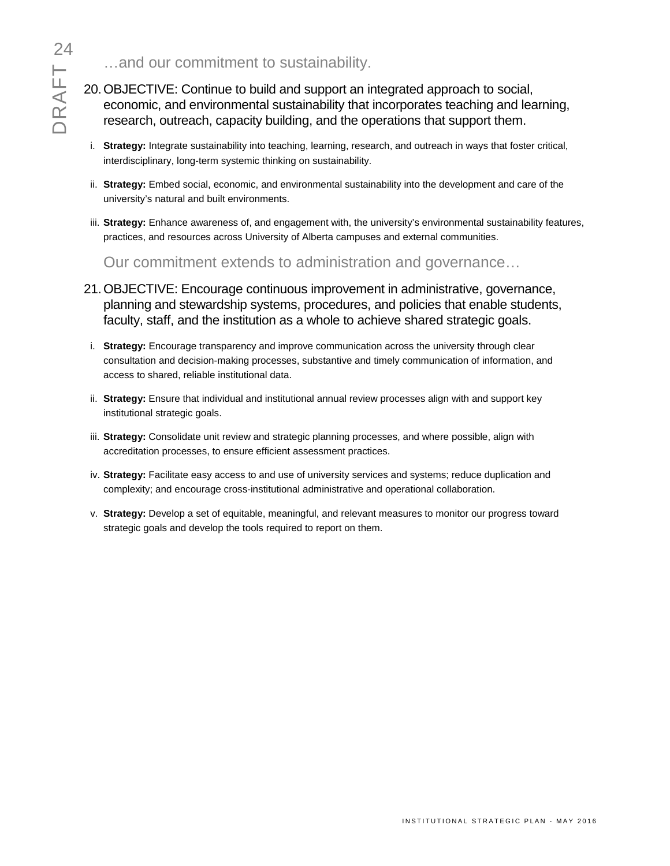- 20.OBJECTIVE: Continue to build and support an integrated approach to social, economic, and environmental sustainability that incorporates teaching and learning, research, outreach, capacity building, and the operations that support them.
- i. **Strategy:** Integrate sustainability into teaching, learning, research, and outreach in ways that foster critical, interdisciplinary, long-term systemic thinking on sustainability.
- ii. **Strategy:** Embed social, economic, and environmental sustainability into the development and care of the university's natural and built environments.
- iii. **Strategy:** Enhance awareness of, and engagement with, the university's environmental sustainability features, practices, and resources across University of Alberta campuses and external communities.

Our commitment extends to administration and governance…

- 21.OBJECTIVE: Encourage continuous improvement in administrative, governance, planning and stewardship systems, procedures, and policies that enable students, faculty, staff, and the institution as a whole to achieve shared strategic goals.
- i. **Strategy:** Encourage transparency and improve communication across the university through clear consultation and decision-making processes, substantive and timely communication of information, and access to shared, reliable institutional data.
- ii. **Strategy:** Ensure that individual and institutional annual review processes align with and support key institutional strategic goals.
- iii. **Strategy:** Consolidate unit review and strategic planning processes, and where possible, align with accreditation processes, to ensure efficient assessment practices.
- iv. **Strategy:** Facilitate easy access to and use of university services and systems; reduce duplication and complexity; and encourage cross-institutional administrative and operational collaboration.
- v. **Strategy:** Develop a set of equitable, meaningful, and relevant measures to monitor our progress toward strategic goals and develop the tools required to report on them.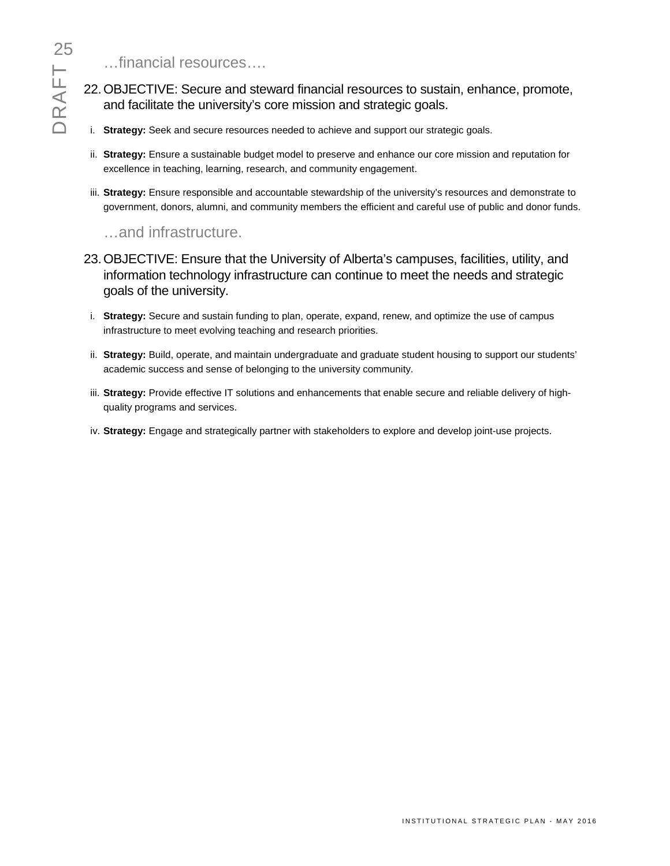…financial resources….

- 22.OBJECTIVE: Secure and steward financial resources to sustain, enhance, promote, and facilitate the university's core mission and strategic goals.
- i. **Strategy:** Seek and secure resources needed to achieve and support our strategic goals.
- ii. **Strategy:** Ensure a sustainable budget model to preserve and enhance our core mission and reputation for excellence in teaching, learning, research, and community engagement.
- iii. **Strategy:** Ensure responsible and accountable stewardship of the university's resources and demonstrate to government, donors, alumni, and community members the efficient and careful use of public and donor funds.

### …and infrastructure.

- 23.OBJECTIVE: Ensure that the University of Alberta's campuses, facilities, utility, and information technology infrastructure can continue to meet the needs and strategic goals of the university.
- i. **Strategy:** Secure and sustain funding to plan, operate, expand, renew, and optimize the use of campus infrastructure to meet evolving teaching and research priorities.
- ii. **Strategy:** Build, operate, and maintain undergraduate and graduate student housing to support our students' academic success and sense of belonging to the university community.
- iii. **Strategy:** Provide effective IT solutions and enhancements that enable secure and reliable delivery of highquality programs and services.
- iv. **Strategy:** Engage and strategically partner with stakeholders to explore and develop joint-use projects.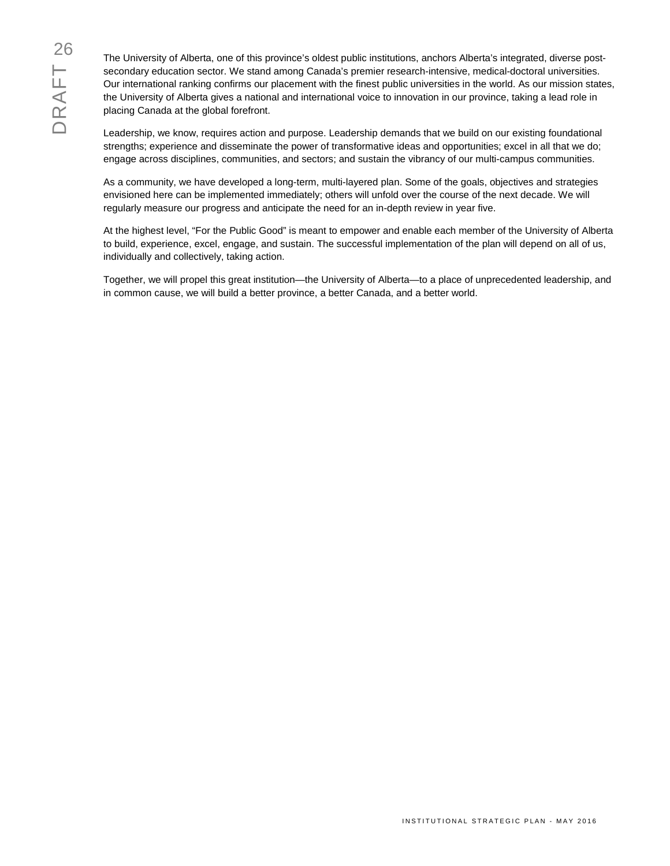The University of Alberta, one of this province's oldest public institutions, anchors Alberta's integrated, diverse postsecondary education sector. We stand among Canada's premier research-intensive, medical-doctoral universities. Our international ranking confirms our placement with the finest public universities in the world. As our mission states, the University of Alberta gives a national and international voice to innovation in our province, taking a lead role in placing Canada at the global forefront.

Leadership, we know, requires action and purpose. Leadership demands that we build on our existing foundational strengths; experience and disseminate the power of transformative ideas and opportunities; excel in all that we do; engage across disciplines, communities, and sectors; and sustain the vibrancy of our multi-campus communities.

As a community, we have developed a long-term, multi-layered plan. Some of the goals, objectives and strategies envisioned here can be implemented immediately; others will unfold over the course of the next decade. We will regularly measure our progress and anticipate the need for an in-depth review in year five.

At the highest level, "For the Public Good" is meant to empower and enable each member of the University of Alberta to build, experience, excel, engage, and sustain. The successful implementation of the plan will depend on all of us, individually and collectively, taking action.

Together, we will propel this great institution—the University of Alberta—to a place of unprecedented leadership, and in common cause, we will build a better province, a better Canada, and a better world.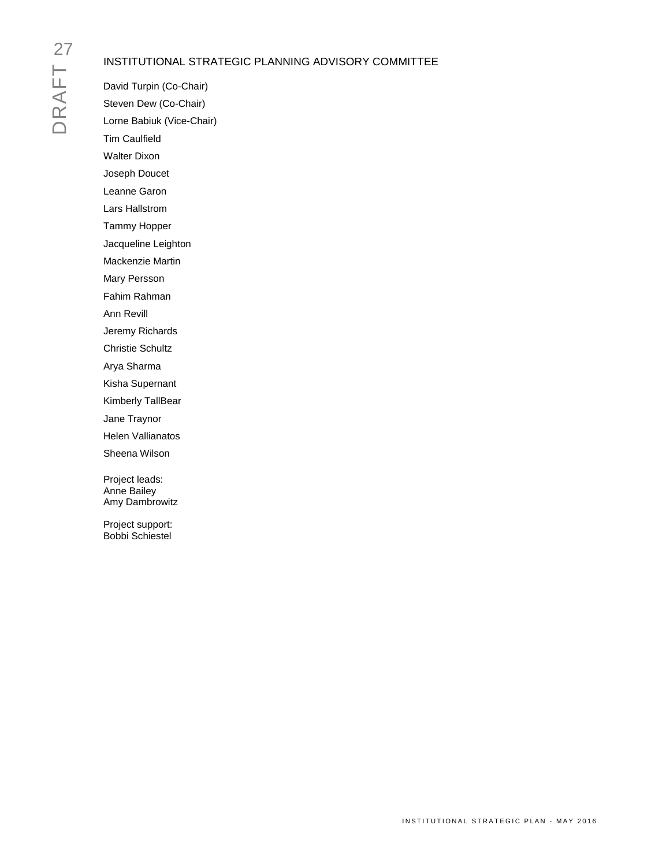# DRAFT<sub>N</sub>

### INSTITUTIONAL STRATEGIC PLANNING ADVISORY COMMITTEE

David Turpin (Co-Chair) Steven Dew (Co-Chair) Lorne Babiuk (Vice-Chair) Tim Caulfield Walter Dixon Joseph Doucet Leanne Garon Lars Hallstrom Tammy Hopper Jacqueline Leighton Mackenzie Martin Mary Persson Fahim Rahman Ann Revill Jeremy Richards Christie Schultz Arya Sharma Kisha Supernant Kimberly TallBear Jane Traynor Helen Vallianatos Sheena Wilson Project leads: Anne Bailey Amy Dambrowitz

Project support: Bobbi Schiestel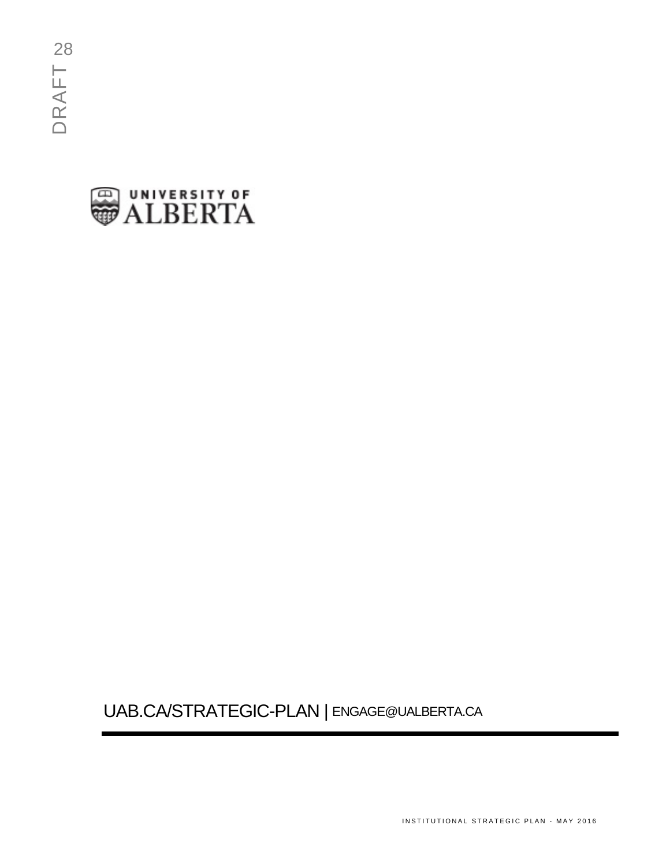

# UAB.CA/STRATEGIC-PLAN | ENGAGE@UALBERTA.CA